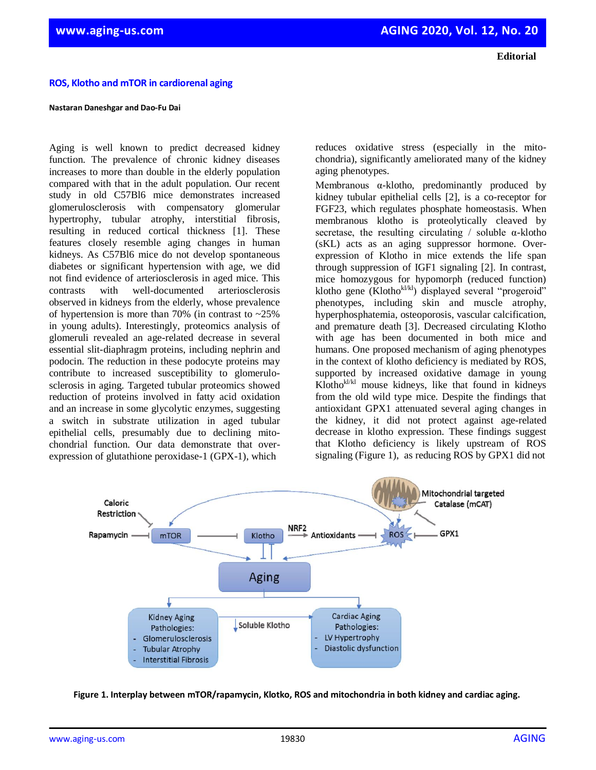**Editorial**

## **ROS, Klotho and mTOR in cardiorenal aging**

## **Nastaran Daneshgar and Dao-Fu Dai**

Aging is well known to predict decreased kidney function. The prevalence of chronic kidney diseases increases to more than double in the elderly population compared with that in the adult population. Our recent study in old C57Bl6 mice demonstrates increased glomerulosclerosis with compensatory glomerular hypertrophy, tubular atrophy, interstitial fibrosis, resulting in reduced cortical thickness [1]. These features closely resemble aging changes in human kidneys. As C57Bl6 mice do not develop spontaneous diabetes or significant hypertension with age, we did not find evidence of arteriosclerosis in aged mice. This contrasts with well-documented arteriosclerosis observed in kidneys from the elderly, whose prevalence of hypertension is more than 70% (in contrast to  $\sim$ 25%) in young adults). Interestingly, proteomics analysis of glomeruli revealed an age-related decrease in several essential slit-diaphragm proteins, including nephrin and podocin. The reduction in these podocyte proteins may contribute to increased susceptibility to glomerulosclerosis in aging. Targeted tubular proteomics showed reduction of proteins involved in fatty acid oxidation and an increase in some glycolytic enzymes, suggesting a switch in substrate utilization in aged tubular epithelial cells, presumably due to declining mitochondrial function. Our data demonstrate that overexpression of glutathione peroxidase-1 (GPX-1), which

reduces oxidative stress (especially in the mitochondria), significantly ameliorated many of the kidney aging phenotypes.

Membranous α-klotho, predominantly produced by kidney tubular epithelial cells [2], is a co-receptor for FGF23, which regulates phosphate homeostasis. When membranous klotho is proteolytically cleaved by secretase, the resulting circulating / soluble  $\alpha$ -klotho (sKL) acts as an aging suppressor hormone. Overexpression of Klotho in mice extends the life span through suppression of IGF1 signaling [2]. In contrast, mice homozygous for hypomorph (reduced function) klotho gene (Klothokl/kl) displayed several "progeroid" phenotypes, including skin and muscle atrophy, hyperphosphatemia, osteoporosis, vascular calcification, and premature death [3]. Decreased circulating Klotho with age has been documented in both mice and humans. One proposed mechanism of aging phenotypes in the context of klotho deficiency is mediated by ROS, supported by increased oxidative damage in young  $Klotho^{k l / k l}$  mouse kidneys, like that found in kidneys from the old wild type mice. Despite the findings that antioxidant GPX1 attenuated several aging changes in the kidney, it did not protect against age-related decrease in klotho expression. These findings suggest that Klotho deficiency is likely upstream of ROS signaling (Figure 1), as reducing ROS by GPX1 did not